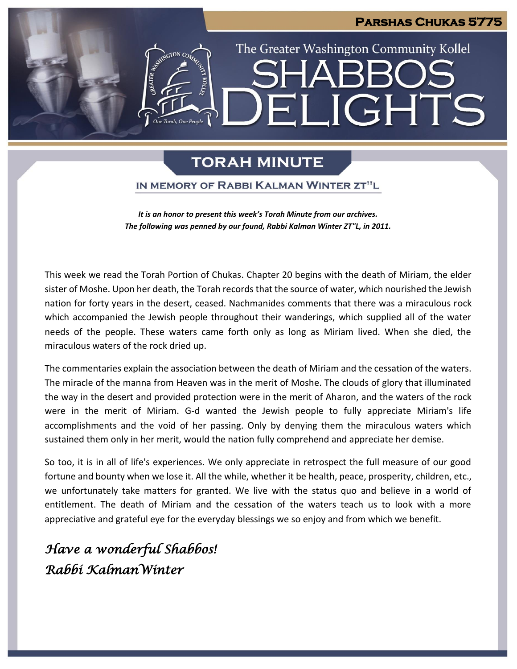# **Parshas Chukas 5775** The Greater Washington Community Kollel LIGHT Fil

## **TORAH MINUTE**

### IN MEMORY OF RABBI KALMAN WINTER ZT"L

*It is an honor to present this week's Torah Minute from our archives. The following was penned by our found, Rabbi Kalman Winter ZT"L, in 2011.*

This week we read the Torah Portion of Chukas. Chapter 20 begins with the death of Miriam, the elder sister of Moshe. Upon her death, the Torah records that the source of water, which nourished the Jewish nation for forty years in the desert, ceased. Nachmanides comments that there was a miraculous rock which accompanied the Jewish people throughout their wanderings, which supplied all of the water needs of the people. These waters came forth only as long as Miriam lived. When she died, the miraculous waters of the rock dried up.

The commentaries explain the association between the death of Miriam and the cessation of the waters. The miracle of the manna from Heaven was in the merit of Moshe. The clouds of glory that illuminated the way in the desert and provided protection were in the merit of Aharon, and the waters of the rock were in the merit of Miriam. G-d wanted the Jewish people to fully appreciate Miriam's life accomplishments and the void of her passing. Only by denying them the miraculous waters which sustained them only in her merit, would the nation fully comprehend and appreciate her demise.

So too, it is in all of life's experiences. We only appreciate in retrospect the full measure of our good fortune and bounty when we lose it. All the while, whether it be health, peace, prosperity, children, etc., we unfortunately take matters for granted. We live with the status quo and believe in a world of entitlement. The death of Miriam and the cessation of the waters teach us to look with a more appreciative and grateful eye for the everyday blessings we so enjoy and from which we benefit.

## *Have a wonderful Shabbos! Rabbi KalmanWinter*